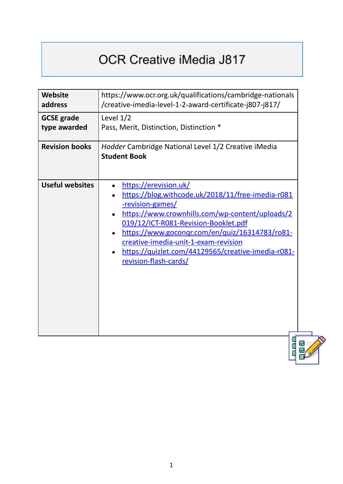## OCR Creative iMedia J817

| <b>Website</b><br>address                                  | https://www.ocr.org.uk/qualifications/cambridge-nationals<br>/creative-imedia-level-1-2-award-certificate-j807-j817/                                                                                                                                                                                                                                               |  |  |  |
|------------------------------------------------------------|--------------------------------------------------------------------------------------------------------------------------------------------------------------------------------------------------------------------------------------------------------------------------------------------------------------------------------------------------------------------|--|--|--|
| <b>GCSE</b> grade<br>type awarded<br><b>Revision books</b> | Level $1/2$<br>Pass, Merit, Distinction, Distinction *<br>Hodder Cambridge National Level 1/2 Creative iMedia<br><b>Student Book</b>                                                                                                                                                                                                                               |  |  |  |
| <b>Useful websites</b>                                     | https://erevision.uk/<br>https://blog.withcode.uk/2018/11/free-imedia-r081<br>-revision-games/<br>https://www.crownhills.com/wp-content/uploads/2<br>019/12/ICT-R081-Revision-Booklet.pdf<br>https://www.gocongr.com/en/quiz/16314783/ro81-<br>creative-imedia-unit-1-exam-revision<br>https://quizlet.com/44129565/creative-imedia-r081-<br>revision-flash-cards/ |  |  |  |

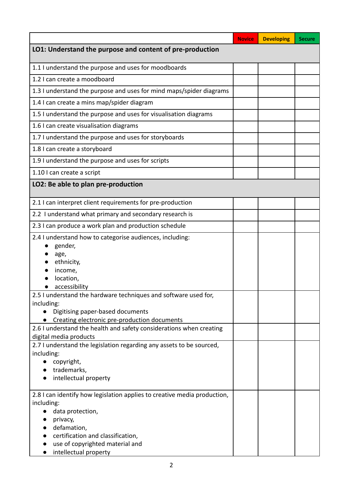|                                                                                                | <b>Novice</b> | <b>Developing</b> | <b>Secure</b> |  |  |  |
|------------------------------------------------------------------------------------------------|---------------|-------------------|---------------|--|--|--|
| LO1: Understand the purpose and content of pre-production                                      |               |                   |               |  |  |  |
| 1.1 I understand the purpose and uses for moodboards                                           |               |                   |               |  |  |  |
| 1.2 I can create a moodboard                                                                   |               |                   |               |  |  |  |
| 1.3 I understand the purpose and uses for mind maps/spider diagrams                            |               |                   |               |  |  |  |
| 1.4 I can create a mins map/spider diagram                                                     |               |                   |               |  |  |  |
| 1.5 I understand the purpose and uses for visualisation diagrams                               |               |                   |               |  |  |  |
| 1.6 I can create visualisation diagrams                                                        |               |                   |               |  |  |  |
| 1.7 I understand the purpose and uses for storyboards                                          |               |                   |               |  |  |  |
| 1.8 I can create a storyboard                                                                  |               |                   |               |  |  |  |
| 1.9 I understand the purpose and uses for scripts                                              |               |                   |               |  |  |  |
| 1.10 I can create a script                                                                     |               |                   |               |  |  |  |
| LO2: Be able to plan pre-production                                                            |               |                   |               |  |  |  |
| 2.1 I can interpret client requirements for pre-production                                     |               |                   |               |  |  |  |
| 2.2 I understand what primary and secondary research is                                        |               |                   |               |  |  |  |
| 2.3 I can produce a work plan and production schedule                                          |               |                   |               |  |  |  |
| 2.4 I understand how to categorise audiences, including:<br>gender,                            |               |                   |               |  |  |  |
| age,<br>ethnicity,                                                                             |               |                   |               |  |  |  |
| income,                                                                                        |               |                   |               |  |  |  |
| location,                                                                                      |               |                   |               |  |  |  |
| accessibility                                                                                  |               |                   |               |  |  |  |
| 2.5 I understand the hardware techniques and software used for,<br>including:                  |               |                   |               |  |  |  |
| Digitising paper-based documents                                                               |               |                   |               |  |  |  |
| Creating electronic pre-production documents                                                   |               |                   |               |  |  |  |
| 2.6 I understand the health and safety considerations when creating                            |               |                   |               |  |  |  |
| digital media products<br>2.7 I understand the legislation regarding any assets to be sourced, |               |                   |               |  |  |  |
| including:                                                                                     |               |                   |               |  |  |  |
| copyright,                                                                                     |               |                   |               |  |  |  |
| trademarks,                                                                                    |               |                   |               |  |  |  |
| intellectual property                                                                          |               |                   |               |  |  |  |
| 2.8 I can identify how legislation applies to creative media production,<br>including:         |               |                   |               |  |  |  |
| data protection,                                                                               |               |                   |               |  |  |  |
| privacy,                                                                                       |               |                   |               |  |  |  |
| defamation,                                                                                    |               |                   |               |  |  |  |
| certification and classification,<br>use of copyrighted material and                           |               |                   |               |  |  |  |
| intellectual property                                                                          |               |                   |               |  |  |  |